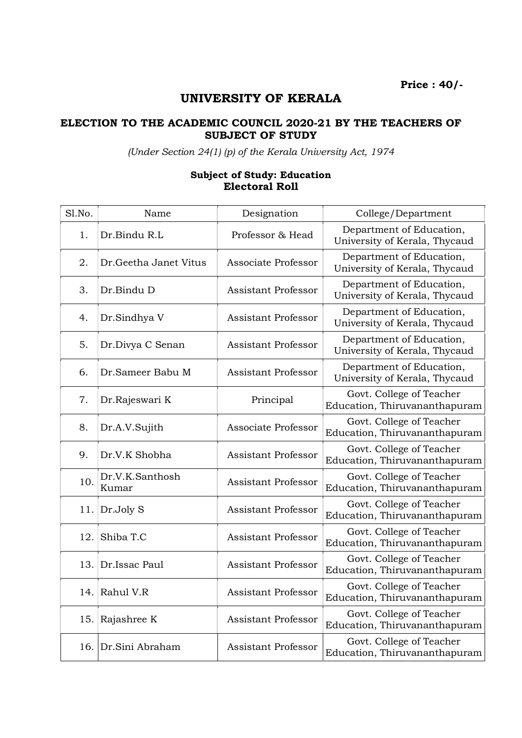Price : 40/-

## UNIVERSITY OF KERALA

## ELECTION TO THE ACADEMIC COUNCIL 2020-21 BY THE TEACHERS OF SUBJECT OF STUDY

(Under Section 24(1) (p) of the Kerala University Act, 1974

## Subject of Study: Education Electoral Roll

| Sl.No. | Name                     | Designation                | College/Department                                        |
|--------|--------------------------|----------------------------|-----------------------------------------------------------|
| 1.     | Dr.Bindu R.L             | Professor & Head           | Department of Education,<br>University of Kerala, Thycaud |
| 2.     | Dr. Geetha Janet Vitus   | Associate Professor        | Department of Education,<br>University of Kerala, Thycaud |
| 3.     | Dr.Bindu D               | Assistant Professor        | Department of Education,<br>University of Kerala, Thycaud |
| 4.     | Dr.Sindhya V             | Assistant Professor        | Department of Education,<br>University of Kerala, Thycaud |
| 5.     | Dr.Divya C Senan         | <b>Assistant Professor</b> | Department of Education,<br>University of Kerala, Thycaud |
| 6.     | Dr.Sameer Babu M         | <b>Assistant Professor</b> | Department of Education,<br>University of Kerala, Thycaud |
| 7.     | Dr.Rajeswari K           | Principal                  | Govt. College of Teacher<br>Education, Thiruvananthapuram |
| 8.     | Dr.A.V.Sujith            | Associate Professor        | Govt. College of Teacher<br>Education, Thiruvananthapuram |
| 9.     | Dr.V.K Shobha            | <b>Assistant Professor</b> | Govt. College of Teacher<br>Education, Thiruvananthapuram |
| 10.    | Dr.V.K.Santhosh<br>Kumar | <b>Assistant Professor</b> | Govt. College of Teacher<br>Education, Thiruvananthapuram |
| 11.    | Dr.Joly S                | <b>Assistant Professor</b> | Govt. College of Teacher<br>Education, Thiruvananthapuram |
| 12.    | Shiba T.C                | <b>Assistant Professor</b> | Govt. College of Teacher<br>Education, Thiruvananthapuram |
| 13.    | Dr.Issac Paul            | <b>Assistant Professor</b> | Govt. College of Teacher<br>Education, Thiruvananthapuram |
| 14.    | Rahul V.R                | <b>Assistant Professor</b> | Govt. College of Teacher<br>Education, Thiruvananthapuram |
| 15.    | Rajashree K              | <b>Assistant Professor</b> | Govt. College of Teacher<br>Education, Thiruvananthapuram |
| 16.    | Dr.Sini Abraham          | <b>Assistant Professor</b> | Govt. College of Teacher<br>Education, Thiruvananthapuram |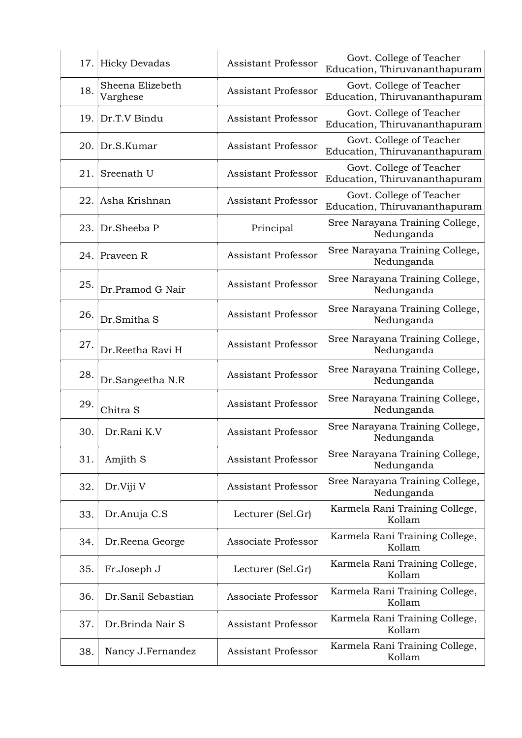|     | 17. Hicky Devadas            | <b>Assistant Professor</b> | Govt. College of Teacher<br>Education, Thiruvananthapuram |
|-----|------------------------------|----------------------------|-----------------------------------------------------------|
| 18. | Sheena Elizebeth<br>Varghese | <b>Assistant Professor</b> | Govt. College of Teacher<br>Education, Thiruvananthapuram |
|     | 19. Dr.T.V Bindu             | <b>Assistant Professor</b> | Govt. College of Teacher<br>Education, Thiruvananthapuram |
| 20. | Dr.S.Kumar                   | <b>Assistant Professor</b> | Govt. College of Teacher<br>Education, Thiruvananthapuram |
| 21. | Sreenath U                   | <b>Assistant Professor</b> | Govt. College of Teacher<br>Education, Thiruvananthapuram |
| 22. | Asha Krishnan                | <b>Assistant Professor</b> | Govt. College of Teacher<br>Education, Thiruvananthapuram |
| 23. | Dr.Sheeba P                  | Principal                  | Sree Narayana Training College,<br>Nedunganda             |
|     | 24. Praveen R                | <b>Assistant Professor</b> | Sree Narayana Training College,<br>Nedunganda             |
| 25. | Dr.Pramod G Nair             | <b>Assistant Professor</b> | Sree Narayana Training College,<br>Nedunganda             |
| 26. | Dr.Smitha S                  | <b>Assistant Professor</b> | Sree Narayana Training College,<br>Nedunganda             |
| 27. | Dr.Reetha Ravi H             | <b>Assistant Professor</b> | Sree Narayana Training College,<br>Nedunganda             |
| 28. | Dr.Sangeetha N.R             | <b>Assistant Professor</b> | Sree Narayana Training College,<br>Nedunganda             |
| 29. | Chitra S                     | <b>Assistant Professor</b> | Sree Narayana Training College,<br>Nedunganda             |
| 30. | Dr.Rani K.V                  | <b>Assistant Professor</b> | Sree Narayana Training College,<br>Nedunganda             |
| 31. | Amjith S                     | <b>Assistant Professor</b> | Sree Narayana Training College,<br>Nedunganda             |
| 32. | Dr.Viji V                    | <b>Assistant Professor</b> | Sree Narayana Training College,<br>Nedunganda             |
| 33. | Dr.Anuja C.S                 | Lecturer (Sel.Gr)          | Karmela Rani Training College,<br>Kollam                  |
| 34. | Dr.Reena George              | Associate Professor        | Karmela Rani Training College,<br>Kollam                  |
| 35. | Fr.Joseph J                  | Lecturer (Sel.Gr)          | Karmela Rani Training College,<br>Kollam                  |
| 36. | Dr.Sanil Sebastian           | Associate Professor        | Karmela Rani Training College,<br>Kollam                  |
| 37. | Dr.Brinda Nair S             | <b>Assistant Professor</b> | Karmela Rani Training College,<br>Kollam                  |
| 38. | Nancy J.Fernandez            | <b>Assistant Professor</b> | Karmela Rani Training College,<br>Kollam                  |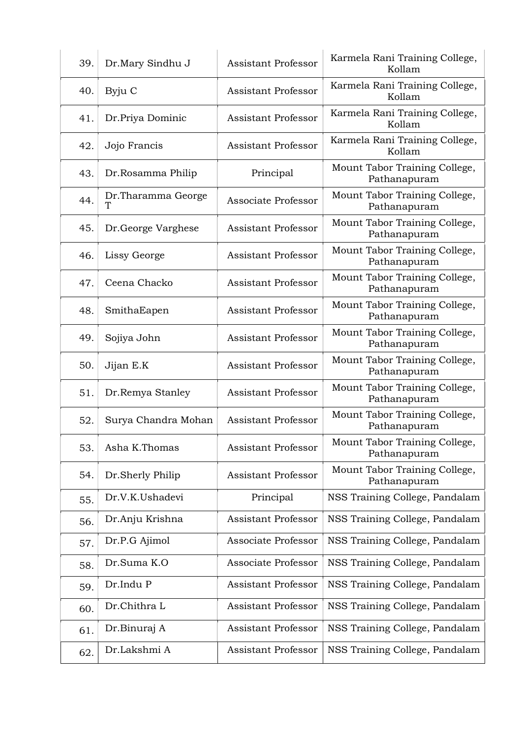| 39. | Dr.Mary Sindhu J         | <b>Assistant Professor</b> | Karmela Rani Training College,<br>Kollam      |
|-----|--------------------------|----------------------------|-----------------------------------------------|
| 40. | Byju C                   | <b>Assistant Professor</b> | Karmela Rani Training College,<br>Kollam      |
| 41. | Dr.Priya Dominic         | Assistant Professor        | Karmela Rani Training College,<br>Kollam      |
| 42. | Jojo Francis             | Assistant Professor        | Karmela Rani Training College,<br>Kollam      |
| 43. | Dr.Rosamma Philip        | Principal                  | Mount Tabor Training College,<br>Pathanapuram |
| 44. | Dr. Tharamma George<br>ፐ | Associate Professor        | Mount Tabor Training College,<br>Pathanapuram |
| 45. | Dr.George Varghese       | <b>Assistant Professor</b> | Mount Tabor Training College,<br>Pathanapuram |
| 46. | Lissy George             | <b>Assistant Professor</b> | Mount Tabor Training College,<br>Pathanapuram |
| 47. | Ceena Chacko             | <b>Assistant Professor</b> | Mount Tabor Training College,<br>Pathanapuram |
| 48. | SmithaEapen              | <b>Assistant Professor</b> | Mount Tabor Training College,<br>Pathanapuram |
| 49. | Sojiya John              | <b>Assistant Professor</b> | Mount Tabor Training College,<br>Pathanapuram |
| 50. | Jijan E.K                | <b>Assistant Professor</b> | Mount Tabor Training College,<br>Pathanapuram |
| 51. | Dr.Remya Stanley         | <b>Assistant Professor</b> | Mount Tabor Training College,<br>Pathanapuram |
| 52. | Surya Chandra Mohan      | <b>Assistant Professor</b> | Mount Tabor Training College,<br>Pathanapuram |
| 53. | Asha K.Thomas            | <b>Assistant Professor</b> | Mount Tabor Training College,<br>Pathanapuram |
| 54. | Dr.Sherly Philip         | <b>Assistant Professor</b> | Mount Tabor Training College,<br>Pathanapuram |
| 55. | Dr.V.K.Ushadevi          | Principal                  | NSS Training College, Pandalam                |
| 56. | Dr.Anju Krishna          | <b>Assistant Professor</b> | NSS Training College, Pandalam                |
| 57. | Dr.P.G Ajimol            | Associate Professor        | NSS Training College, Pandalam                |
| 58. | Dr.Suma K.O              | Associate Professor        | NSS Training College, Pandalam                |
| 59. | Dr.Indu P                | <b>Assistant Professor</b> | NSS Training College, Pandalam                |
| 60. | Dr.Chithra L             | <b>Assistant Professor</b> | NSS Training College, Pandalam                |
| 61. | Dr.Binuraj A             | <b>Assistant Professor</b> | NSS Training College, Pandalam                |
| 62. | Dr.Lakshmi A             | <b>Assistant Professor</b> | NSS Training College, Pandalam                |